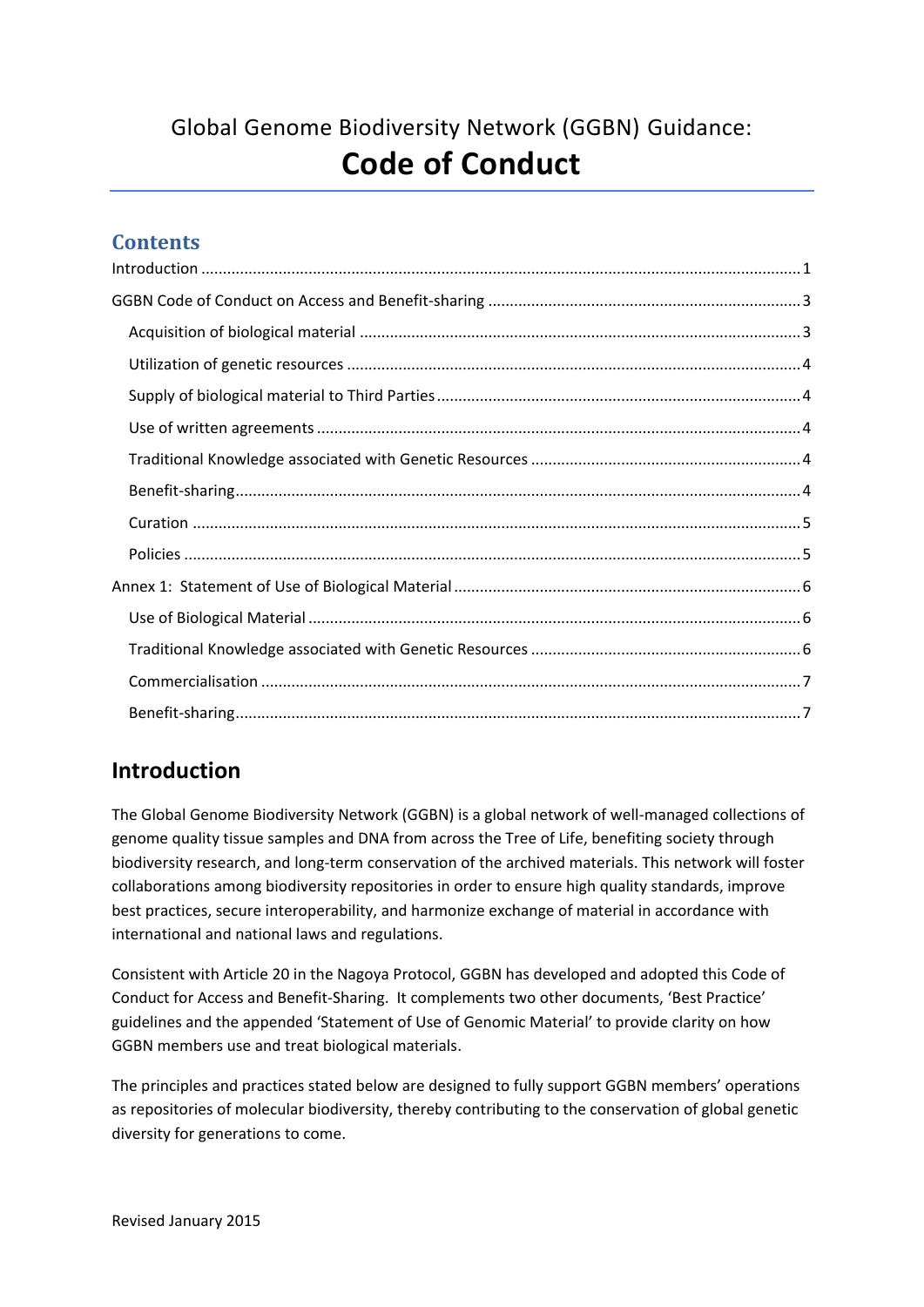# Global Genome Biodiversity Network (GGBN) Guidance: **Code of Conduct**

### **Contents**

## <span id="page-0-0"></span>**Introduction**

The Global Genome Biodiversity Network (GGBN) is a global network of well-managed collections of genome quality tissue samples and DNA from across the Tree of Life, benefiting society through biodiversity research, and long-term conservation of the archived materials. This network will foster collaborations among biodiversity repositories in order to ensure high quality standards, improve best practices, secure interoperability, and harmonize exchange of material in accordance with international and national laws and regulations.

Consistent with Article 20 in the Nagoya Protocol, GGBN has developed and adopted this Code of Conduct for Access and Benefit-Sharing. It complements two other documents, 'Best Practice' guidelines and the appended 'Statement of Use of Genomic Material' to provide clarity on how GGBN members use and treat biological materials.

The principles and practices stated below are designed to fully support GGBN members' operations as repositories of molecular biodiversity, thereby contributing to the conservation of global genetic diversity for generations to come.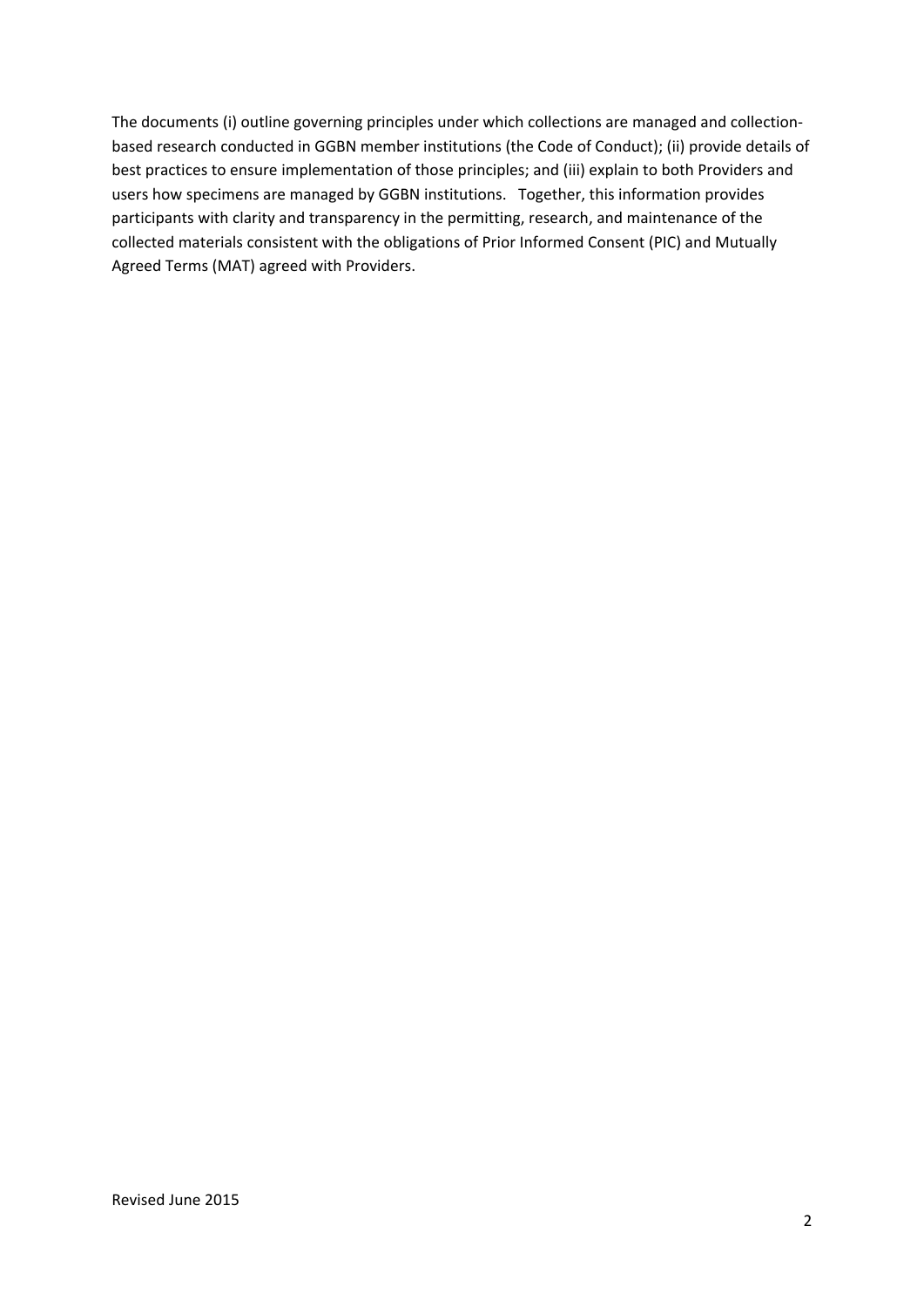The documents (i) outline governing principles under which collections are managed and collectionbased research conducted in GGBN member institutions (the Code of Conduct); (ii) provide details of best practices to ensure implementation of those principles; and (iii) explain to both Providers and users how specimens are managed by GGBN institutions. Together, this information provides participants with clarity and transparency in the permitting, research, and maintenance of the collected materials consistent with the obligations of Prior Informed Consent (PIC) and Mutually Agreed Terms (MAT) agreed with Providers.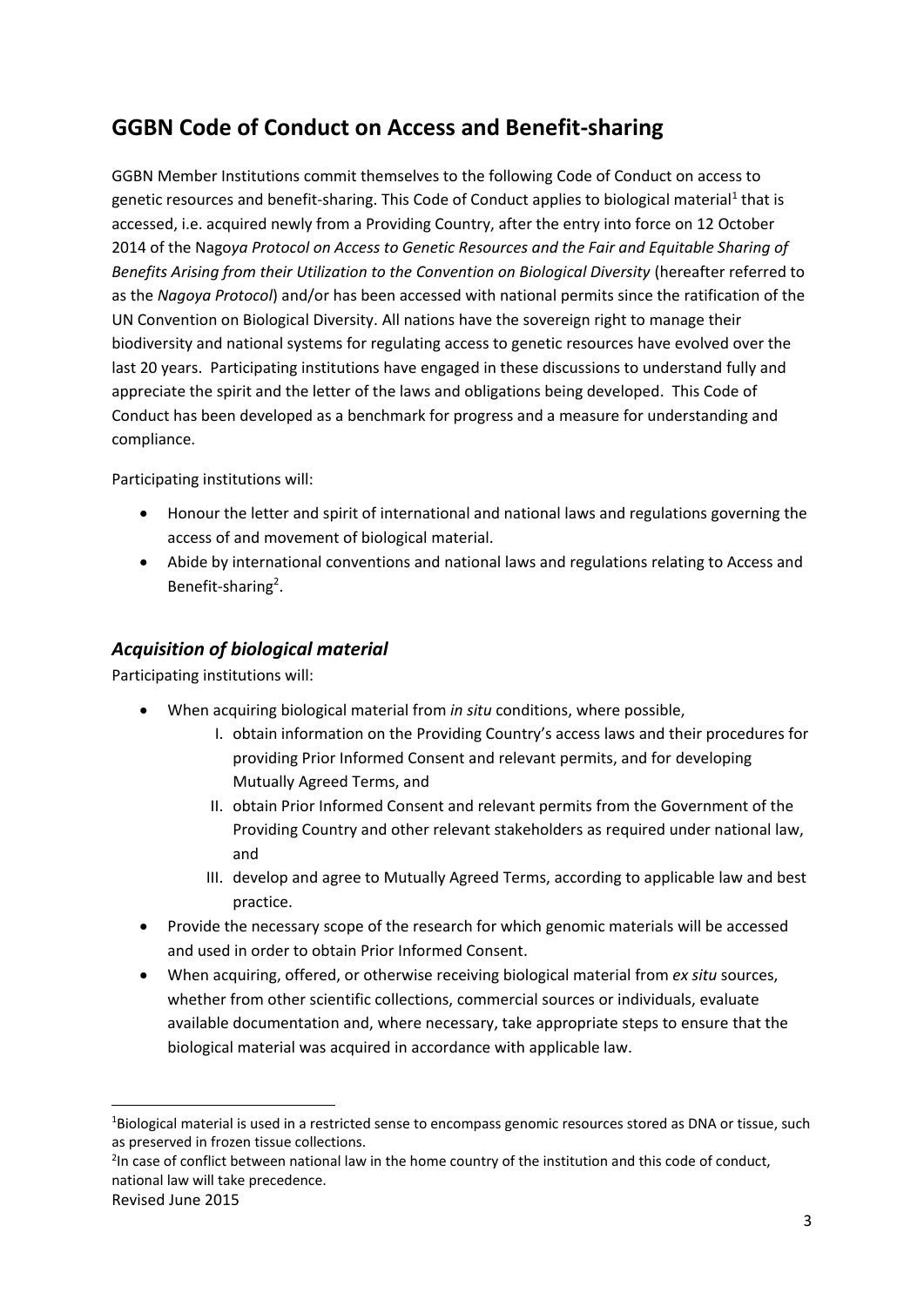## <span id="page-2-0"></span>**GGBN Code of Conduct on Access and Benefit-sharing**

GGBN Member Institutions commit themselves to the following Code of Conduct on access to genetic resources and benefit-sharing. This Code of Conduct applies to biological material<sup>1</sup> that is accessed, i.e. acquired newly from a Providing Country, after the entry into force on 12 October 2014 of the Nago*ya Protocol on Access to Genetic Resources and the Fair and Equitable Sharing of Benefits Arising from their Utilization to the Convention on Biological Diversity* (hereafter referred to as the *Nagoya Protocol*) and/or has been accessed with national permits since the ratification of the UN Convention on Biological Diversity. All nations have the sovereign right to manage their biodiversity and national systems for regulating access to genetic resources have evolved over the last 20 years. Participating institutions have engaged in these discussions to understand fully and appreciate the spirit and the letter of the laws and obligations being developed. This Code of Conduct has been developed as a benchmark for progress and a measure for understanding and compliance.

Participating institutions will:

- Honour the letter and spirit of international and national laws and regulations governing the access of and movement of biological material.
- Abide by international conventions and national laws and regulations relating to Access and Benefit-sharing<sup>2</sup>.

#### <span id="page-2-1"></span>*Acquisition of biological material*

Participating institutions will:

- When acquiring biological material from *in situ* conditions, where possible,
	- I. obtain information on the Providing Country's access laws and their procedures for providing Prior Informed Consent and relevant permits, and for developing Mutually Agreed Terms, and
	- II. obtain Prior Informed Consent and relevant permits from the Government of the Providing Country and other relevant stakeholders as required under national law, and
	- III. develop and agree to Mutually Agreed Terms, according to applicable law and best practice.
- Provide the necessary scope of the research for which genomic materials will be accessed and used in order to obtain Prior Informed Consent.
- When acquiring, offered, or otherwise receiving biological material from *ex situ* sources, whether from other scientific collections, commercial sources or individuals, evaluate available documentation and, where necessary, take appropriate steps to ensure that the biological material was acquired in accordance with applicable law.

**.** 

<sup>1</sup>Biological material is used in a restricted sense to encompass genomic resources stored as DNA or tissue, such as preserved in frozen tissue collections.

<sup>&</sup>lt;sup>2</sup>In case of conflict between national law in the home country of the institution and this code of conduct, national law will take precedence.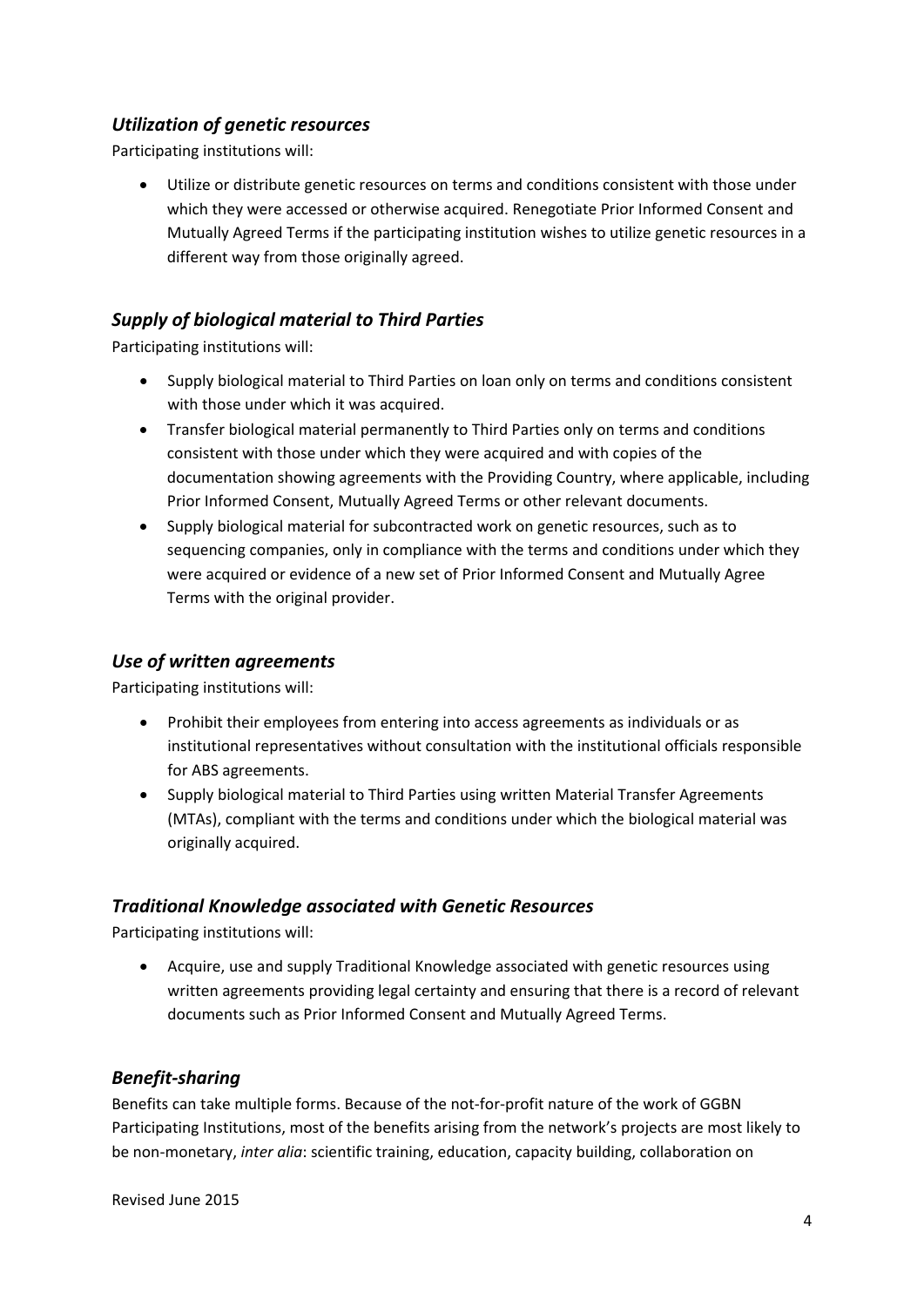#### <span id="page-3-0"></span>*Utilization of genetic resources*

Participating institutions will:

 Utilize or distribute genetic resources on terms and conditions consistent with those under which they were accessed or otherwise acquired. Renegotiate Prior Informed Consent and Mutually Agreed Terms if the participating institution wishes to utilize genetic resources in a different way from those originally agreed.

#### <span id="page-3-1"></span>*Supply of biological material to Third Parties*

Participating institutions will:

- Supply biological material to Third Parties on loan only on terms and conditions consistent with those under which it was acquired.
- Transfer biological material permanently to Third Parties only on terms and conditions consistent with those under which they were acquired and with copies of the documentation showing agreements with the Providing Country, where applicable, including Prior Informed Consent, Mutually Agreed Terms or other relevant documents.
- Supply biological material for subcontracted work on genetic resources, such as to sequencing companies, only in compliance with the terms and conditions under which they were acquired or evidence of a new set of Prior Informed Consent and Mutually Agree Terms with the original provider.

#### <span id="page-3-2"></span>*Use of written agreements*

Participating institutions will:

- Prohibit their employees from entering into access agreements as individuals or as institutional representatives without consultation with the institutional officials responsible for ABS agreements.
- Supply biological material to Third Parties using written Material Transfer Agreements (MTAs), compliant with the terms and conditions under which the biological material was originally acquired.

#### <span id="page-3-3"></span>*Traditional Knowledge associated with Genetic Resources*

Participating institutions will:

 Acquire, use and supply Traditional Knowledge associated with genetic resources using written agreements providing legal certainty and ensuring that there is a record of relevant documents such as Prior Informed Consent and Mutually Agreed Terms.

#### <span id="page-3-4"></span>*Benefit-sharing*

Benefits can take multiple forms. Because of the not-for-profit nature of the work of GGBN Participating Institutions, most of the benefits arising from the network's projects are most likely to be non-monetary, *inter alia*: scientific training, education, capacity building, collaboration on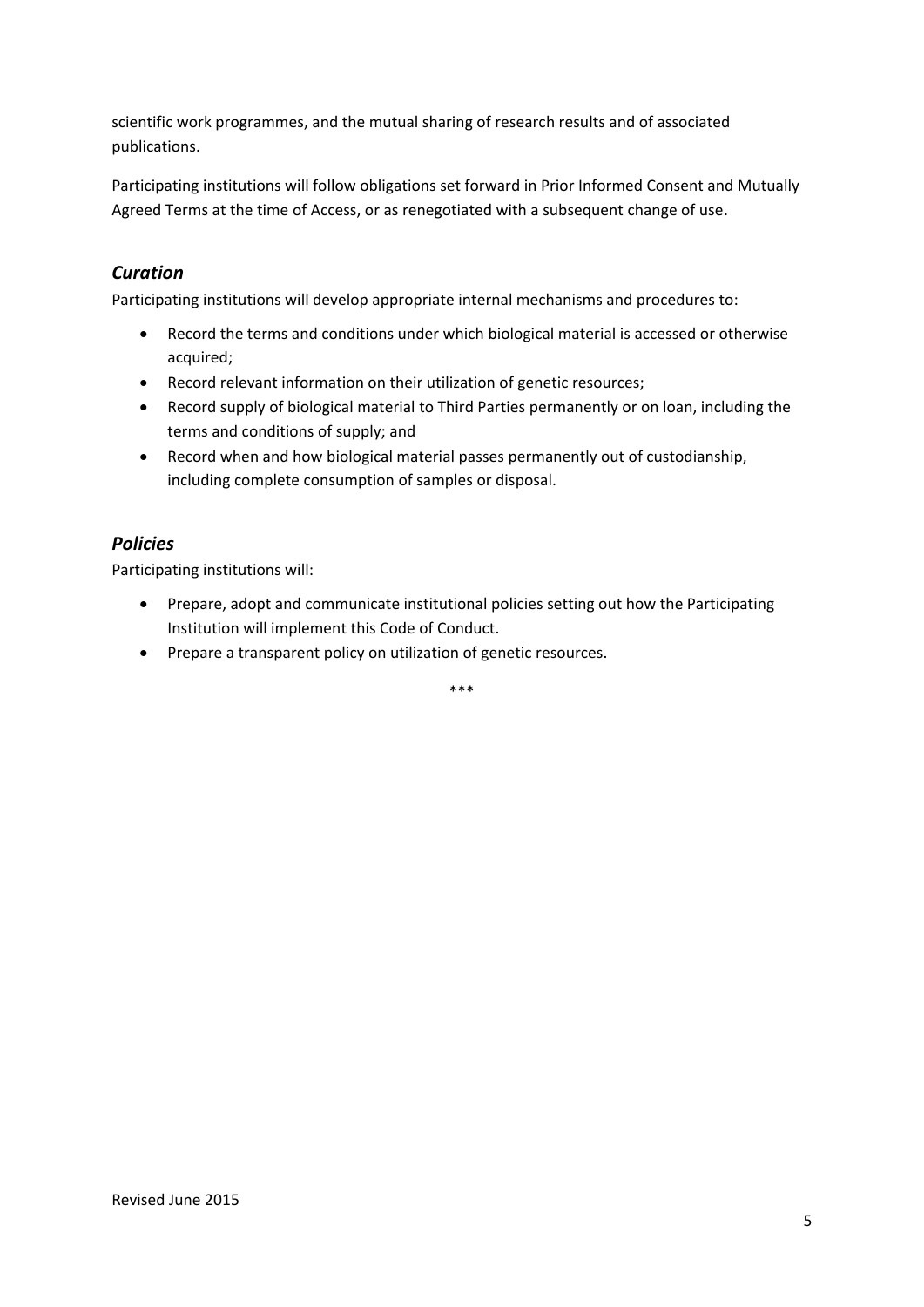scientific work programmes, and the mutual sharing of research results and of associated publications.

Participating institutions will follow obligations set forward in Prior Informed Consent and Mutually Agreed Terms at the time of Access, or as renegotiated with a subsequent change of use.

#### <span id="page-4-0"></span>*Curation*

Participating institutions will develop appropriate internal mechanisms and procedures to:

- Record the terms and conditions under which biological material is accessed or otherwise acquired;
- Record relevant information on their utilization of genetic resources;
- Record supply of biological material to Third Parties permanently or on loan, including the terms and conditions of supply; and
- Record when and how biological material passes permanently out of custodianship, including complete consumption of samples or disposal.

#### <span id="page-4-1"></span>*Policies*

Participating institutions will:

- Prepare, adopt and communicate institutional policies setting out how the Participating Institution will implement this Code of Conduct.
- Prepare a transparent policy on utilization of genetic resources.

\*\*\*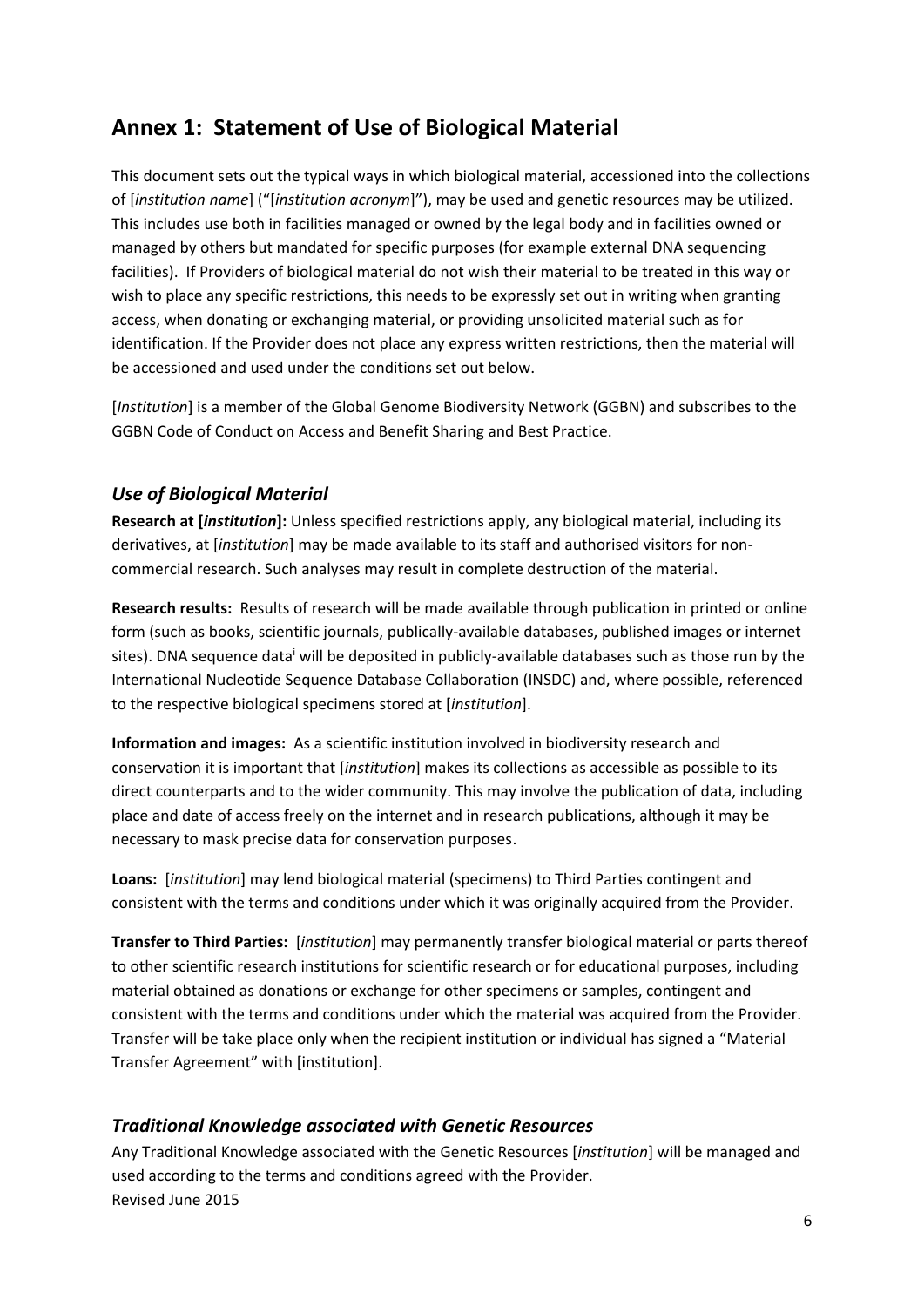### <span id="page-5-0"></span>**Annex 1: Statement of Use of Biological Material**

This document sets out the typical ways in which biological material, accessioned into the collections of [*institution name*] ("[*institution acronym*]"), may be used and genetic resources may be utilized. This includes use both in facilities managed or owned by the legal body and in facilities owned or managed by others but mandated for specific purposes (for example external DNA sequencing facilities). If Providers of biological material do not wish their material to be treated in this way or wish to place any specific restrictions, this needs to be expressly set out in writing when granting access, when donating or exchanging material, or providing unsolicited material such as for identification. If the Provider does not place any express written restrictions, then the material will be accessioned and used under the conditions set out below.

[*Institution*] is a member of the Global Genome Biodiversity Network (GGBN) and subscribes to the GGBN Code of Conduct on Access and Benefit Sharing and Best Practice.

#### <span id="page-5-1"></span>*Use of Biological Material*

**Research at [***institution***]:** Unless specified restrictions apply, any biological material, including its derivatives, at [*institution*] may be made available to its staff and authorised visitors for noncommercial research. Such analyses may result in complete destruction of the material.

**Research results:** Results of research will be made available through publication in printed or online form (such as books, scientific journals, publically-available databases, published images or internet sites). DNA sequence data will be deposited in publicly-available databases such as those run by the International Nucleotide Sequence Database Collaboration (INSDC) and, where possible, referenced to the respective biological specimens stored at [*institution*].

**Information and images:** As a scientific institution involved in biodiversity research and conservation it is important that [*institution*] makes its collections as accessible as possible to its direct counterparts and to the wider community. This may involve the publication of data, including place and date of access freely on the internet and in research publications, although it may be necessary to mask precise data for conservation purposes.

**Loans:** [*institution*] may lend biological material (specimens) to Third Parties contingent and consistent with the terms and conditions under which it was originally acquired from the Provider.

**Transfer to Third Parties:** [*institution*] may permanently transfer biological material or parts thereof to other scientific research institutions for scientific research or for educational purposes, including material obtained as donations or exchange for other specimens or samples, contingent and consistent with the terms and conditions under which the material was acquired from the Provider. Transfer will be take place only when the recipient institution or individual has signed a "Material Transfer Agreement" with [institution].

#### <span id="page-5-2"></span>*Traditional Knowledge associated with Genetic Resources*

Revised June 2015 Any Traditional Knowledge associated with the Genetic Resources [*institution*] will be managed and used according to the terms and conditions agreed with the Provider.